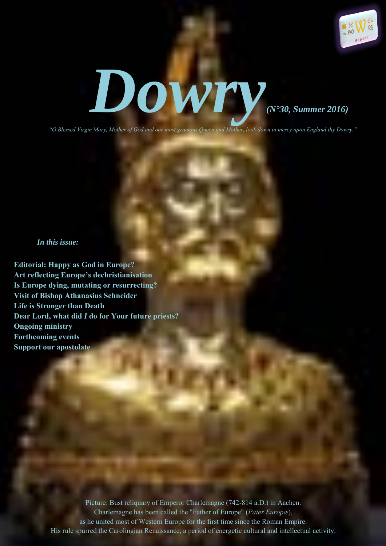

*DOWPY* (*N°30, Summer 2016*)

*"O Blessed Virgin Mary, Mother of God and our most gracious Queen and Mother, look down in mercy upon England thy Dowry."*

#### *In this issue:*

**Editorial: Happy as God in Europe? Art reflecting Europe's dechristianisation Is Europe dying, mutating or resurrecting? Visit of Bishop Athanasius Schneider Life is Stronger than Death Dear Lord, what did** *I* **do for Your future priests? Ongoing ministry Forthcoming events Support our apostolate**

> Picture: Bust reliquary of Emperor Charlemagne (742-814 a.D.) in Aachen. Charlemagne has been called the "Father of Europe" (*Pater Europӕ*), as he united most of Western Europe for the first time since the Roman Empire. His rule spurred the Carolingian Renaissance, a period of energetic cultural and intellectual activity.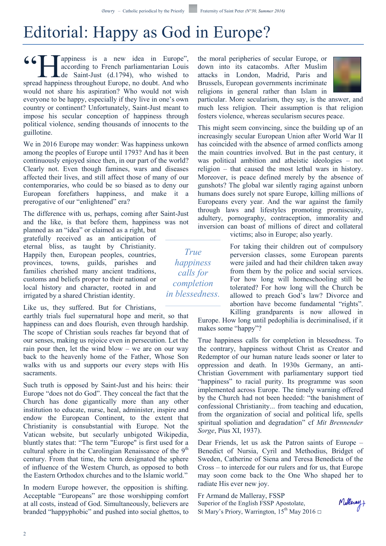### Editorial: Happy as God in Europe?

appiness is a new idea in Europe", according to French parliamentarian Louis de Saint-Just (d.1794), who wished to **66** according to French parliamentarian Louis de Saint-Just (d.1794), who wished to spread happiness throughout Europe, no doubt. And who would not share his aspiration? Who would not wish everyone to be happy, especially if they live in one's own country or continent? Unfortunately, Saint-Just meant to impose his secular conception of happiness through political violence, sending thousands of innocents to the guillotine.

We in 2016 Europe may wonder: Was happiness unkown among the peoples of Europe until 1793? And has it been continuously enjoyed since then, in our part of the world? Clearly not. Even though famines, wars and diseases affected their lives, and still affect those of many of our contemporaries, who could be so biased as to deny our European forefathers happiness, and make it a prerogative of our "enlightened" era?

The difference with us, perhaps, coming after Saint-Just and the like, is that before them, happiness was not

planned as an "idea" or claimed as a right, but gratefully received as an anticipation of eternal bliss, as taught by Christianity. Happily then, European peoples, countries, provinces, towns, guilds, parishes and families cherished many ancient traditions, customs and beliefs proper to their national or local history and character, rooted in and irrigated by a shared Christian identity.

Like us, they suffered. But for Christians,

earthly trials fuel supernatural hope and merit, so that happiness can and does flourish, even through hardship. The scope of Christian souls reaches far beyond that of our senses, making us rejoice even in persecution. Let the rain pour then, let the wind blow – we are on our way back to the heavenly home of the Father, Whose Son walks with us and supports our every steps with His sacraments.

Such truth is opposed by Saint-Just and his heirs: their Europe "does not do God". They conceal the fact that the Church has done gigantically more than any other institution to educate, nurse, heal, administer, inspire and endow the European Continent, to the extent that Christianity is consubstantial with Europe. Not the Vatican website, but secularly unbigoted Wikipedia, bluntly states that: "The term "Europe" is first used for a cultural sphere in the Carolingian Renaissance of the  $9<sup>th</sup>$ century. From that time, the term designated the sphere of influence of the Western Church, as opposed to both the Eastern Orthodox churches and to the Islamic world."

In modern Europe however, the opposition is shifting. Acceptable "Europeans" are those worshipping comfort at all costs, instead of God. Simultaneously, believers are branded "happyphobic" and pushed into social ghettos, to

the moral peripheries of secular Europe, or down into its catacombs. After Muslim attacks in London, Madrid, Paris and Brussels, European governments incriminate religions in general rather than Islam in



particular. More secularism, they say, is the answer, and much less religion. Their assumption is that religion fosters violence, whereas secularism secures peace.

This might seem convincing, since the building up of an increasingly secular European Union after World War II has coincided with the absence of armed conflicts among the main countries involved. But in the past century, it was political ambition and atheistic ideologies – not religion – that caused the most lethal wars in history. Moreover, is peace defined merely by the absence of gunshots? The global war silently raging against unborn humans does surely not spare Europe, killing millions of Europeans every year. And the war against the family through laws and lifestyles promoting promiscuity, adultery, pornography, contraception, immorality and inversion can boast of millions of direct and collateral

victims; also in Europe; also yearly.

*True happiness calls for completion in blessedness.*

For taking their children out of compulsory perversion classes, some European parents were jailed and had their children taken away from them by the police and social services. For how long will homeschooling still be tolerated? For how long will the Church be allowed to preach God's law? Divorce and abortion have become fundamental "rights". Killing grandparents is now allowed in

Europe. How long until pedophilia is decriminalised, if it makes some "happy"?

True happiness calls for completion in blessedness. To the contrary, happiness without Christ as Creator and Redemptor of our human nature leads sooner or later to oppression and death. In 1930s Germany, an anti-Christian Government with parliamentary support tied "happiness" to racial purity. Its programme was soon implemented across Europe. The timely warning offered by the Church had not been heeded: "the banishment of confessional Christianity... from teaching and education, from the organization of social and political life, spells spiritual spoliation and degradation" cf *Mit Brennender Sorge*, Pius XI, 1937).

Dear Friends, let us ask the Patron saints of Europe – Benedict of Nursia, Cyril and Methodius, Bridget of Sweden, Catherine of Siena and Teresa Benedicta of the Cross – to intercede for our rulers and for us, that Europe may soon come back to the One Who shaped her to radiate His ever new joy.

Fr Armand de Malleray, FSSP Superior of the English FSSP Apostolate, St Mary's Priory, Warrington,  $15^{th}$  May 2016  $\Box$ 

Malleray +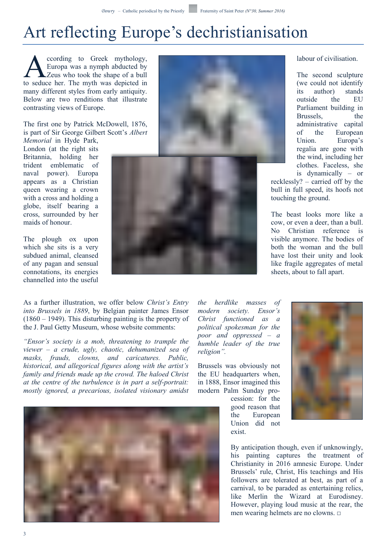### Art reflecting Europe's dechristianisation

ccording to Greek mythology, Europa was a nymph abducted by Zeus who took the shape of a bull coording to Greek mythology,<br>Europa was a nymph abducted by<br>Zeus who took the shape of a bull<br>to seduce her. The myth was depicted in many different styles from early antiquity. Below are two renditions that illustrate contrasting views of Europe.

The first one by Patrick McDowell, 1876, is part of Sir George Gilbert Scott's *Albert Memorial* in Hyde Park,

London (at the right sits Britannia, holding her trident emblematic of naval power). Europa appears as a Christian queen wearing a crown with a cross and holding a globe, itself bearing a cross, surrounded by her maids of honour.

The plough ox upon which she sits is a very subdued animal, cleansed of any pagan and sensual connotations, its energies channelled into the useful





As a further illustration, we offer below *Christ's Entry into Brussels in 1889*, by Belgian painter James Ensor (1860 – 1949). This disturbing painting is the property of the J. Paul Getty Museum, whose website comments:

*"Ensor's society is a mob, threatening to trample the viewer – a crude, ugly, chaotic, dehumanized sea of masks, frauds, clowns, and caricatures. Public, historical, and allegorical figures along with the artist's family and friends made up the crowd. The haloed Christ at the centre of the turbulence is in part a self-portrait: mostly ignored, a precarious, isolated visionary amidst* 



*the herdlike masses of modern society. Ensor's Christ functioned as a political spokesman for the poor and oppressed – a humble leader of the true religion".* 

Brussels was obviously not the EU headquarters when, in 1888, Ensor imagined this modern Palm Sunday pro-

> cession: for the good reason that the European Union did not exist.

#### labour of civilisation.

The second sculpture (we could not identify its author) stands outside the EU Parliament building in Brussels, the administrative capital of the European Union. Europa's regalia are gone with the wind, including her clothes. Faceless, she is dynamically – or

recklessly? – carried off by the bull in full speed, its hoofs not touching the ground.

The beast looks more like a cow, or even a deer, than a bull. No Christian reference is visible anymore. The bodies of both the woman and the bull have lost their unity and look like fragile aggregates of metal sheets, about to fall apart.



By anticipation though, even if unknowingly, his painting captures the treatment of Christianity in 2016 amnesic Europe. Under Brussels' rule, Christ, His teachings and His followers are tolerated at best, as part of a carnival, to be paraded as entertaining relics, like Merlin the Wizard at Eurodisney. However, playing loud music at the rear, the men wearing helmets are no clowns. □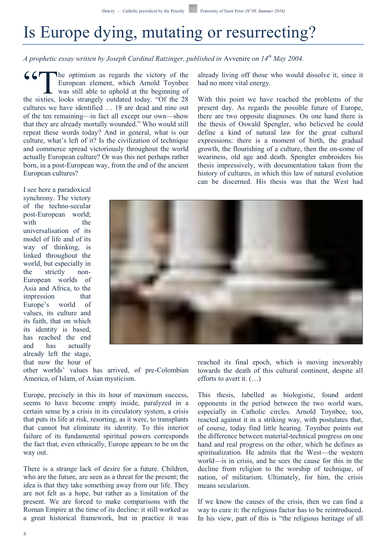### Is Europe dying, mutating or resurrecting?

*A prophetic essay written by Joseph Cardinal Ratzinger, published in* Avvenire *on 14th May 2004.* 

he optimism as regards the victory of the European element, which Arnold Toynbee  $\mathsf{\Sigma}$  was still able to uphold at the beginning of **66 The optimism as regards the victory of the European element, which Arnold Toynbee was still able to uphold at the beginning of the sixties, looks strangely outdated today. "Of the 28** cultures we have identified … 18 are dead and nine out of the ten remaining—in fact all except our own—show that they are already mortally wounded." Who would still repeat these words today? And in general, what is our culture, what's left of it? Is the civilization of technique and commerce spread victoriously throughout the world actually European culture? Or was this not perhaps rather born, in a post-European way, from the end of the ancient European cultures?

already living off those who would dissolve it, since it had no more vital energy.

With this point we have reached the problems of the present day. As regards the possible future of Europe, there are two opposite diagnoses. On one hand there is the thesis of Oswald Spengler, who believed he could define a kind of natural law for the great cultural expressions: there is a moment of birth, the gradual growth, the flourishing of a culture, then the on-come of weariness, old age and death. Spengler embroiders his thesis impressively, with documentation taken from the history of cultures, in which this law of natural evolution can be discerned. His thesis was that the West had

I see here a paradoxical synchrony. The victory of the techno-secular post-European world; with the universalisation of its model of life and of its way of thinking, is linked throughout the world, but especially in the strictly non-European worlds of Asia and Africa, to the impression that Europe's world of values, its culture and its faith, that on which its identity is based, has reached the end and has actually already left the stage, that now the hour of



other worlds' values has arrived, of pre-Colombian America, of Islam, of Asian mysticism.

Europe, precisely in this its hour of maximum success, seems to have become empty inside, paralyzed in a certain sense by a crisis in its circulatory system, a crisis that puts its life at risk, resorting, as it were, to transplants that cannot but eliminate its identity. To this interior failure of its fundamental spiritual powers corresponds the fact that, even ethnically, Europe appears to be on the way out.

There is a strange lack of desire for a future. Children, who are the future, are seen as a threat for the present; the idea is that they take something away from our life. They are not felt as a hope, but rather as a limitation of the present. We are forced to make comparisons with the Roman Empire at the time of its decline: it still worked as a great historical framework, but in practice it was

reached its final epoch, which is moving inexorably towards the death of this cultural continent, despite all efforts to avert it. (…)

This thesis, labelled as biologistic, found ardent opponents in the period between the two world wars, especially in Catholic circles. Arnold Toynbee, too, reacted against it in a striking way, with postulates that, of course, today find little hearing. Toynbee points out the difference between material-technical progress on one hand and real progress on the other, which he defines as spiritualization. He admits that the West—the western world—is in crisis, and he sees the cause for this in the decline from religion to the worship of technique, of nation, of militarism. Ultimately, for him, the crisis means secularism.

If we know the causes of the crisis, then we can find a way to cure it: the religious factor has to be reintroduced. In his view, part of this is "the religious heritage of all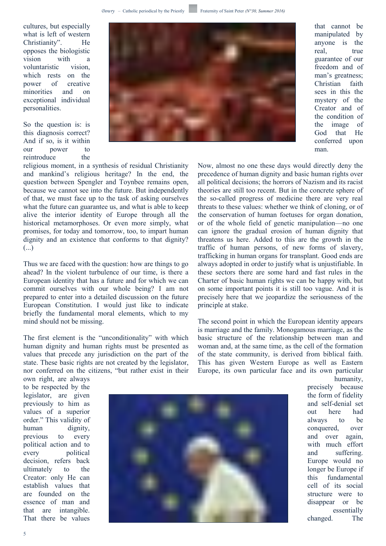cultures, but especially what is left of western Christianity". He opposes the biologistic vision with a voluntaristic vision, which rests on the power of creative minorities and on exceptional individual personalities.

So the question is: is this diagnosis correct? And if so, is it within our power to reintroduce the



that cannot be manipulated by anyone is the real, true guarantee of our freedom and of man's greatness; Christian faith sees in this the mystery of the Creator and of the condition of the image of God that He conferred upon man.

religious moment, in a synthesis of residual Christianity and mankind's religious heritage? In the end, the question between Spengler and Toynbee remains open, because we cannot see into the future. But independently of that, we must face up to the task of asking ourselves what the future can guarantee us, and what is able to keep alive the interior identity of Europe through all the historical metamorphoses. Or even more simply, what promises, for today and tomorrow, too, to impart human dignity and an existence that conforms to that dignity? (...)

Thus we are faced with the question: how are things to go ahead? In the violent turbulence of our time, is there a European identity that has a future and for which we can commit ourselves with our whole being? I am not prepared to enter into a detailed discussion on the future European Constitution. I would just like to indicate briefly the fundamental moral elements, which to my mind should not be missing.

The first element is the "unconditionality" with which human dignity and human rights must be presented as values that precede any jurisdiction on the part of the state. These basic rights are not created by the legislator, nor conferred on the citizens, "but rather exist in their Now, almost no one these days would directly deny the precedence of human dignity and basic human rights over all political decisions; the horrors of Nazism and its racist theories are still too recent. But in the concrete sphere of the so-called progress of medicine there are very real threats to these values: whether we think of cloning, or of the conservation of human foetuses for organ donation, or of the whole field of genetic manipulation—no one can ignore the gradual erosion of human dignity that threatens us here. Added to this are the growth in the traffic of human persons, of new forms of slavery, trafficking in human organs for transplant. Good ends are always adopted in order to justify what is unjustifiable. In these sectors there are some hard and fast rules in the Charter of basic human rights we can be happy with, but on some important points it is still too vague. And it is precisely here that we jeopardize the seriousness of the principle at stake.

The second point in which the European identity appears is marriage and the family. Monogamous marriage, as the basic structure of the relationship between man and woman and, at the same time, as the cell of the formation of the state community, is derived from biblical faith. This has given Western Europe as well as Eastern Europe, its own particular face and its own particular

own right, are always to be respected by the legislator, are given previously to him as values of a superior order." This validity of human dignity, previous to every political action and to every political decision, refers back ultimately to the Creator: only He can establish values that are founded on the essence of man and that are intangible. That there be values



humanity, precisely because the form of fidelity and self-denial set out here had always to be conquered, over and over again, with much effort and suffering. Europe would no longer be Europe if this fundamental cell of its social structure were to disappear or be essentially changed. The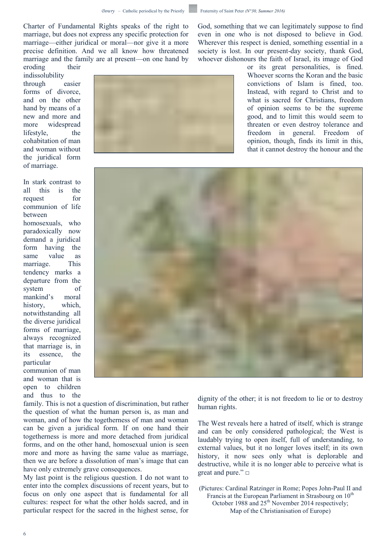Charter of Fundamental Rights speaks of the right to marriage, but does not express any specific protection for marriage—either juridical or moral—nor give it a more precise definition. And we all know how threatened marriage and the family are at present—on one hand by

eroding their indissolubility through easier forms of divorce, and on the other hand by means of a new and more and more widespread lifestyle, the cohabitation of man and woman without the juridical form of marriage.

In stark contrast to all this is the request for communion of life between homosexuals, who paradoxically now demand a juridical form having the same value as marriage. This tendency marks a departure from the system of mankind's moral history, which, notwithstanding all the diverse juridical forms of marriage, always recognized that marriage is, in its essence, the particular communion of man

and woman that is open to children and thus to the

family. This is not a question of discrimination, but rather the question of what the human person is, as man and woman, and of how the togetherness of man and woman can be given a juridical form. If on one hand their togetherness is more and more detached from juridical forms, and on the other hand, homosexual union is seen more and more as having the same value as marriage, then we are before a dissolution of man's image that can have only extremely grave consequences.

My last point is the religious question. I do not want to enter into the complex discussions of recent years, but to focus on only one aspect that is fundamental for all cultures: respect for what the other holds sacred, and in particular respect for the sacred in the highest sense, for

God, something that we can legitimately suppose to find even in one who is not disposed to believe in God. Wherever this respect is denied, something essential in a society is lost. In our present-day society, thank God, whoever dishonours the faith of Israel, its image of God

or its great personalities, is fined. Whoever scorns the Koran and the basic convictions of Islam is fined, too. Instead, with regard to Christ and to what is sacred for Christians, freedom of opinion seems to be the supreme good, and to limit this would seem to threaten or even destroy tolerance and freedom in general. Freedom of opinion, though, finds its limit in this, that it cannot destroy the honour and the



dignity of the other; it is not freedom to lie or to destroy human rights.

The West reveals here a hatred of itself, which is strange and can be only considered pathological; the West is laudably trying to open itself, full of understanding, to external values, but it no longer loves itself; in its own history, it now sees only what is deplorable and destructive, while it is no longer able to perceive what is great and pure." □

(Pictures: Cardinal Ratzinger in Rome; Popes John-Paul II and Francis at the European Parliament in Strasbourg on 10<sup>th</sup> October 1988 and  $25<sup>th</sup>$  November 2014 respectively; Map of the Christianisation of Europe)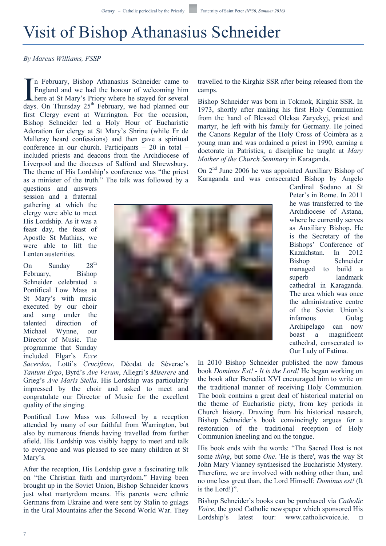### Visit of Bishop Athanasius Schneider

*By Marcus Williams, FSSP* 

n February, Bishop Athanasius Schneider came to England and we had the honour of welcoming him here at St Mary's Priory where he stayed for several days. On Thursday 25<sup>th</sup> February, we had planned our first Clergy event at Warrington. For the occasion, Bishop Schneider led a Holy Hour of Eucharistic Adoration for clergy at St Mary's Shrine (while Fr de Malleray heard confessions) and then gave a spiritual conference in our church. Participants – 20 in total – included priests and deacons from the Archdiocese of Liverpool and the dioceses of Salford and Shrewsbury. The theme of His Lordship's conference was "the priest as a minister of the truth." The talk was followed by a I<br>days

questions and answers session and a fraternal gathering at which the clergy were able to meet His Lordship. As it was a feast day, the feast of Apostle St Mathias, we were able to lift the Lenten austerities.

On Sunday 28<sup>th</sup> February, Bishop Schneider celebrated a Pontifical Low Mass at St Mary's with music executed by our choir and sung under the talented direction of Michael Wynne, our Director of Music. The programme that Sunday included Elgar's *Ecce* 



*Sacerdos*, Lotti's *Crucifixus*, Déodat de Séverac's *Tantum Ergo*, Byrd's *Ave Verum*, Allegri's *Miserere* and Grieg's *Ave Maris Stella*. His Lordship was particularly impressed by the choir and asked to meet and congratulate our Director of Music for the excellent quality of the singing.

Pontifical Low Mass was followed by a reception attended by many of our faithful from Warrington, but also by numerous friends having travelled from further afield. His Lordship was visibly happy to meet and talk to everyone and was pleased to see many children at St Mary's.

After the reception, His Lordship gave a fascinating talk on "the Christian faith and martyrdom." Having been brought up in the Soviet Union, Bishop Schneider knows just what martyrdom means. His parents were ethnic Germans from Ukraine and were sent by Stalin to gulags in the Ural Mountains after the Second World War. They

travelled to the Kirghiz SSR after being released from the camps.

Bishop Schneider was born in Tokmok, Kirghiz SSR. In 1973, shortly after making his first Holy Communion from the hand of Blessed Oleksa Zaryckyj, priest and martyr, he left with his family for Germany. He joined the Canons Regular of the Holy Cross of Coimbra as a young man and was ordained a priest in 1990, earning a doctorate in Patristics, a discipline he taught at *Mary Mother of the Church Seminary* in Karaganda.

On  $2<sup>nd</sup>$  June 2006 he was appointed Auxiliary Bishop of Karaganda and was consecrated Bishop by Angelo

> Cardinal Sodano at St Peter's in Rome. In 2011 he was transferred to the Archdiocese of Astana, where he currently serves as Auxiliary Bishop. He is the Secretary of the Bishops' Conference of Kazakhstan. In 2012 Bishop Schneider managed to build a superb landmark cathedral in Karaganda. The area which was once the administrative centre of the Soviet Union's infamous Gulag Archipelago can now boast a magnificent cathedral, consecrated to Our Lady of Fatima.

In 2010 Bishop Schneider published the now famous book *Dominus Est! - It is the Lord!* He began working on the book after Benedict XVI encouraged him to write on the traditional manner of receiving Holy Communion. The book contains a great deal of historical material on the theme of Eucharistic piety, from key periods in Church history. Drawing from his historical research, Bishop Schneider's book convincingly argues for a restoration of the traditional reception of Holy Communion kneeling and on the tongue.

His book ends with the words: "The Sacred Host is not some *thing*, but some *One*. 'He is there', was the way St John Mary Vianney synthesised the Eucharistic Mystery. Therefore, we are involved with nothing other than, and no one less great than, the Lord Himself: *Dominus est!* (It is the Lord!)".

Bishop Schneider's books can be purchased via *Catholic Voice*, the good Catholic newspaper which sponsored His Lordship's latest tour: www.catholicvoice.ie. □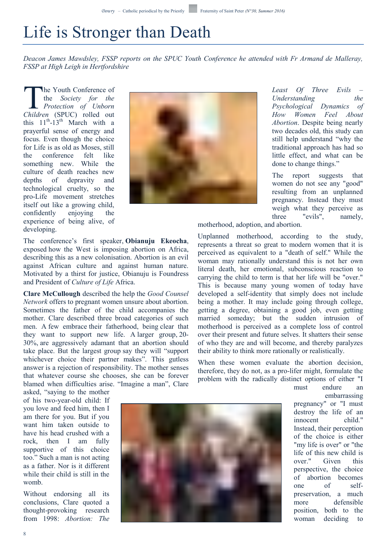### Life is Stronger than Death

*Deacon James Mawdsley, FSSP reports on the SPUC Youth Conference he attended with Fr Armand de Malleray, FSSP at High Leigh in Hertfordshire* 

he Youth Conference of the *Society for the Protection of Unborn*  **Children** Society for the *Protection of Unborn*<br> *Children* (SPUC) rolled out this  $11^{th}$ -13<sup>th</sup> March with a prayerful sense of energy and focus. Even though the choice for Life is as old as Moses, still the conference felt like something new. While the culture of death reaches new depths of depravity and technological cruelty, so the pro-Life movement stretches itself out like a growing child, confidently enjoying the experience of being alive, of developing.



The conference's first speaker, **Obianuju Ekeocha**, exposed how the West is imposing abortion on Africa, describing this as a new colonisation. Abortion is an evil against African culture and against human nature. Motivated by a thirst for justice, Obianuju is Foundress and President of *Culture of Life* Africa.

**Clare McCullough** described the help the *Good Counsel Network* offers to pregnant women unsure about abortion. Sometimes the father of the child accompanies the mother. Clare described three broad categories of such men. A few embrace their fatherhood, being clear that they want to support new life. A larger group, 20- 30%, are aggressively adamant that an abortion should take place. But the largest group say they will "support whichever choice their partner makes". This gutless answer is a rejection of responsibility. The mother senses that whatever course she chooses, she can be forever blamed when difficulties arise. "Imagine a man", Clare

asked, "saying to the mother of his two-year-old child: If you love and feed him, then I am there for you. But if you want him taken outside to have his head crushed with a rock, then I am fully supportive of this choice too." Such a man is not acting as a father. Nor is it different while their child is still in the womb.

Without endorsing all its conclusions, Clare quoted a thought-provoking research from 1998: *Abortion: The* 

carrying the child to term is that her life will be "over." This is because many young women of today have developed a self-identity that simply does not include being a mother. It may include going through college, getting a degree, obtaining a good job, even getting married someday; but the sudden intrusion of motherhood is perceived as a complete loss of control over their present and future selves. It shatters their sense of who they are and will become, and thereby paralyzes their ability to think more rationally or realistically.

Unplanned motherhood, according to the study, represents a threat so great to modern women that it is perceived as equivalent to a "death of self." While the woman may rationally understand this is not her own literal death, her emotional, subconscious reaction to

motherhood, adoption, and abortion.

*Least Of Three Evils – Understanding the Psychological Dynamics of How Women Feel About Abortion*. Despite being nearly two decades old, this study can still help understand "why the traditional approach has had so little effect, and what can be

done to change things."

The report suggests that women do not see any "good" resulting from an unplanned pregnancy. Instead they must weigh what they perceive as three "evils", namely,

When these women evaluate the abortion decision, therefore, they do not, as a pro-lifer might, formulate the problem with the radically distinct options of either "I



must endure an embarrassing pregnancy" or "I must destroy the life of an innocent child." Instead, their perception of the choice is either "my life is over" or "the life of this new child is over." Given this perspective, the choice of abortion becomes one of selfpreservation, a much more defensible position, both to the woman deciding to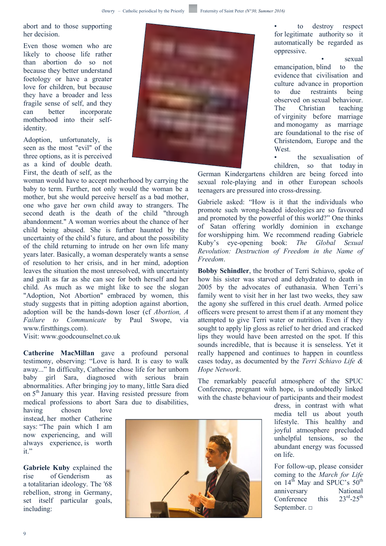abort and to those supporting her decision.

Even those women who are likely to choose life rather than abortion do so not because they better understand foetology or have a greater love for children, but because they have a broader and less fragile sense of self, and they can better incorporate motherhood into their selfidentity.

Adoption, unfortunately, is seen as the most "evil" of the three options, as it is perceived as a kind of double death. First, the death of self, as the

woman would have to accept motherhood by carrying the baby to term. Further, not only would the woman be a mother, but she would perceive herself as a bad mother, one who gave her own child away to strangers. The second death is the death of the child "through abandonment." A woman worries about the chance of her child being abused. She is further haunted by the uncertainty of the child's future, and about the possibility of the child returning to intrude on her own life many years later. Basically, a woman desperately wants a sense of resolution to her crisis, and in her mind, adoption leaves the situation the most unresolved, with uncertainty and guilt as far as she can see for both herself and her child. As much as we might like to see the slogan "Adoption, Not Abortion" embraced by women, this study suggests that in pitting adoption against abortion, adoption will be the hands-down loser (cf *Abortion, A Failure to Communicate* by Paul Swope, via www.firstthings.com).

Visit: www.goodcounselnet.co.uk

**Catherine MacMillan** gave a profound personal testimony, observing: "Love is hard. It is easy to walk away..." In difficulty, Catherine chose life for her unborn baby girl Sara, diagnosed with serious brain abnormalities. After bringing joy to many, little Sara died on 5th January this year. Having resisted pressure from medical professions to abort Sara due to disabilities,

having chosen love instead, her mother Catherine says: "The pain which I am now experiencing, and will always experience, is worth it."

**Gabriele Kuby** explained the rise of Genderism as a totalitarian ideology. The '68 rebellion, strong in Germany, set itself particular goals, including:



to destroy respect for legitimate authority so it automatically be regarded as oppressive.

sexual emancipation, blind to the evidence that civilisation and culture advance in proportion to due restraints being observed on sexual behaviour. The Christian teaching of virginity before marriage and monogamy as marriage are foundational to the rise of Christendom, Europe and the West.

the sexualisation of children, so that today in

German Kindergartens children are being forced into sexual role-playing and in other European schools teenagers are pressured into cross-dressing.

Gabriele asked: "How is it that the individuals who promote such wrong-headed ideologies are so favoured and promoted by the powerful of this world?" One thinks of Satan offering worldly dominion in exchange for worshipping him. We recommend reading Gabriele Kuby's eye-opening book: *The Global Sexual Revolution: Destruction of Freedom in the Name of Freedom*.

**Bobby Schindler**, the brother of Terri Schiavo, spoke of how his sister was starved and dehydrated to death in 2005 by the advocates of euthanasia. When Terri's family went to visit her in her last two weeks, they saw the agony she suffered in this cruel death. Armed police officers were present to arrest them if at any moment they attempted to give Terri water or nutrition. Even if they sought to apply lip gloss as relief to her dried and cracked lips they would have been arrested on the spot. If this sounds incredible, that is because it is senseless. Yet it really happened and continues to happen in countless cases today, as documented by the *Terri Schiavo Life & Hope Network*.

The remarkably peaceful atmosphere of the SPUC Conference, pregnant with hope, is undoubtedly linked with the chaste behaviour of participants and their modest

> dress, in contrast with what media tell us about youth lifestyle. This healthy and joyful atmosphere precluded unhelpful tensions, so the abundant energy was focussed on life.

For follow-up, please consider coming to the *March for Life* on  $14<sup>th</sup>$  May and SPUC's  $50<sup>th</sup>$ anniversary National<br>Conference this  $23^{\text{rd}} - 25^{\text{th}}$ Conference this September. □

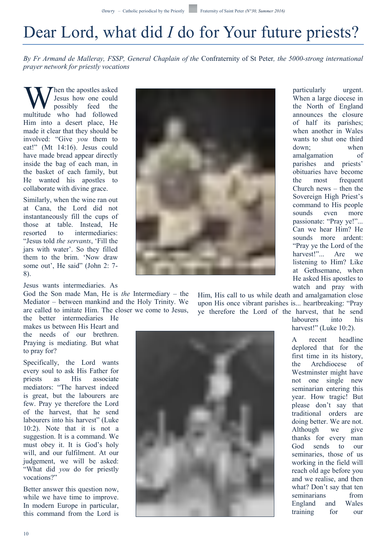## Dear Lord, what did *I* do for Your future priests?

*By Fr Armand de Malleray, FSSP, General Chaplain of the* Confraternity of St Peter*, the 5000-strong international prayer network for priestly vocations* 

hen the apostles asked Jesus how one could possibly feed the W Jesus how one could<br>possibly feed the<br>multitude who had followed Him into a desert place, He made it clear that they should be involved: "Give *you* them to eat!" (Mt 14:16). Jesus could have made bread appear directly inside the bag of each man, in the basket of each family, but He wanted his apostles to collaborate with divine grace.

Similarly, when the wine ran out at Cana, the Lord did not instantaneously fill the cups of those at table. Instead, He resorted to intermediaries: "Jesus told *the servants*, 'Fill the jars with water'. So they filled them to the brim. 'Now draw some out', He said" (John 2: 7- 8).

Jesus wants intermediaries. As

God the Son made Man, He is *the* Intermediary – the Mediator – between mankind and the Holy Trinity. We are called to imitate Him. The closer we come to Jesus,

the better intermediaries He makes us between His Heart and the needs of our brethren. Praying is mediating. But what to pray for?

Specifically, the Lord wants every soul to ask His Father for priests as His associate mediators: "The harvest indeed is great, but the labourers are few. Pray ye therefore the Lord of the harvest, that he send labourers into his harvest" (Luke 10:2). Note that it is not a suggestion. It is a command. We must obey it. It is God's holy will, and our fulfilment. At our judgement, we will be asked: "What did *you* do for priestly vocations?"

Better answer this question now, while we have time to improve. In modern Europe in particular, this command from the Lord is



Him, His call to us while death and amalgamation close upon His once vibrant parishes is... heartbreaking: "Pray ye therefore the Lord of the harvest, that he send



When a large diocese in the North of England announces the closure of half its parishes; when another in Wales wants to shut one third down; when amalgamation of parishes and priests' obituaries have become the most frequent Church news – then the Sovereign High Priest's command to His people sounds even more passionate: "Pray ye!"... Can we hear Him? He sounds more ardent: "Pray ye the Lord of the harvest!"... Are we listening to Him? Like at Gethsemane, when He asked His apostles to watch and pray with

particularly urgent.

labourers into his harvest!" (Luke 10:2).

A recent headline deplored that for the first time in its history, the Archdiocese of Westminster might have not one single new seminarian entering this year. How tragic! But please don't say that traditional orders are doing better. We are not. Although we give thanks for every man God sends to our seminaries, those of us working in the field will reach old age before you and we realise, and then what? Don't say that ten seminarians from England and Wales training for our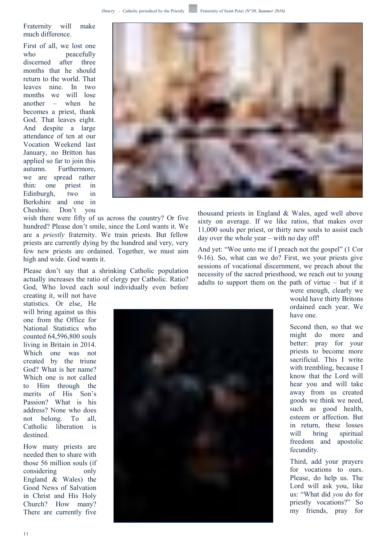Fraternity will make much difference.

First of all, we lost one who peacefully discerned after three months that he should return to the world. That leaves nine. In two months we will lose another – when he becomes a priest, thank God. That leaves eight. And despite a large attendance of ten at our Vocation Weekend last January, no Britton has applied so far to join this autumn. Furthermore, we are spread rather thin: one priest in Edinburgh, two in Berkshire and one in Cheshire. Don't you



wish there were fifty of us across the country? Or five hundred? Please don't smile, since the Lord wants it. We are a *priestly* fraternity. We train priests. But fellow priests are currently dying by the hundred and very, very few new priests are ordained. Together, we must aim high and wide. God wants it.

Please don't say that a shrinking Catholic population actually increases the ratio of clergy per Catholic. Ratio? God, Who loved each soul individually even before

creating it, will not have statistics. Or else, He will bring against us this one from the Office for National Statistics who counted 64,596,800 souls living in Britain in 2014. Which one was not created by the triune God? What is her name? Which one is not called to Him through the merits of His Son's Passion? What is his address? None who does not belong. To all, Catholic liberation is destined.

How many priests are needed then to share with those 56 million souls (if considering only England & Wales) the Good News of Salvation in Christ and His Holy Church? How many? There are currently five

thousand priests in England & Wales, aged well above sixty on average. If we like ratios, that makes over 11,000 souls per priest, or thirty new souls to assist each day over the whole year – with no day off!

And yet: "Woe unto me if I preach not the gospel" (1 Cor 9-16). So, what can we do? First, we your priests give sessions of vocational discernment, we preach about the necessity of the sacred priesthood, we reach out to young adults to support them on the path of virtue – but if it



were enough, clearly we would have thirty Britons ordained each year. We have one.

Second then, so that we might do more and better: pray for your priests to become more sacrificial. This I write with trembling, because I know that the Lord will hear you and will take away from us created goods we think we need, such as good health, esteem or affection. But in return, these losses will bring spiritual freedom and apostolic fecundity.

Third, add your prayers for vocations to ours. Please, do help us. The Lord will ask you, like us: "What did *you* do for priestly vocations?" So my friends, pray for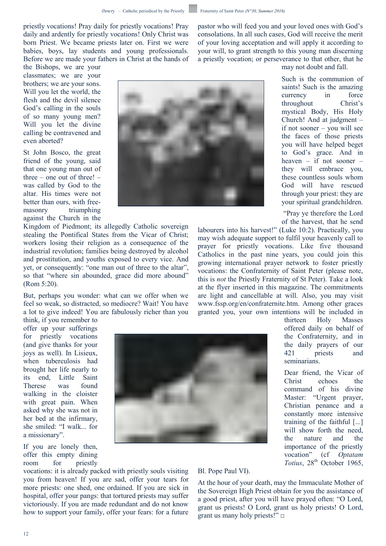priestly vocations! Pray daily for priestly vocations! Pray daily and ardently for priestly vocations! Only Christ was born Priest. We became priests later on. First we were babies, boys, lay students and young professionals. Before we are made your fathers in Christ at the hands of

the Bishops, we are your classmates; we are your brothers; we are your sons. Will you let the world, the flesh and the devil silence God's calling in the souls of so many young men? Will you let the divine calling be contravened and even aborted?

St John Bosco, the great friend of the young, said that one young man out of three – one out of three! – was called by God to the altar. His times were not better than ours, with freemasonry triumphing against the Church in the

Kingdom of Piedmont; its allegedly Catholic sovereign stealing the Pontifical States from the Vicar of Christ; workers losing their religion as a consequence of the industrial revolution; families being destroyed by alcohol and prostitution, and youths exposed to every vice. And yet, or consequently: "one man out of three to the altar", so that "where sin abounded, grace did more abound" (Rom 5:20).

But, perhaps you wonder: what can we offer when we feel so weak, so distracted, so mediocre? Wait! You have a lot to give indeed! You are fabulously richer than you

think, if you remember to offer up your sufferings for priestly vocations (and give thanks for your joys as well). In Lisieux, when tuberculosis had brought her life nearly to its end, Little Saint Therese was found walking in the cloister with great pain. When asked why she was not in her bed at the infirmary, she smiled: "I walk... for a missionary".

If you are lonely then, offer this empty dining room for priestly





pastor who will feed you and your loved ones with God's consolations. In all such cases, God will receive the merit of your loving acceptation and will apply it according to your will, to grant strength to this young man discerning a priestly vocation; or perseverance to that other, that he

may not doubt and fall.

Such is the communion of saints! Such is the amazing currency in force throughout Christ's mystical Body, His Holy Church! And at judgment – if not sooner – you will see the faces of those priests you will have helped beget to God's grace. And in heaven – if not sooner – they will embrace you, these countless souls whom God will have rescued through your priest: they are your spiritual grandchildren.

"Pray ye therefore the Lord of the harvest, that he send

labourers into his harvest!" (Luke 10:2). Practically, you may wish adequate support to fulfil your heavenly call to prayer for priestly vocations. Like five thousand Catholics in the past nine years, you could join this growing international prayer network to foster priestly vocations: the Confraternity of Saint Peter (please note, this is *not* the Priestly Fraternity of St Peter). Take a look at the flyer inserted in this magazine. The commitments are light and cancellable at will. Also, you may visit www.fssp.org/en/confraternite.htm. Among other graces granted you, your own intentions will be included in

> thirteen Holy Masses offered daily on behalf of the Confraternity, and in the daily prayers of our 421 priests and seminarians.

> Dear friend, the Vicar of Christ echoes the command of his divine Master: "Urgent prayer, Christian penance and a constantly more intensive training of the faithful [...] will show forth the need, the nature and the importance of the priestly vocation" (cf *Optatam*  Totius, 28<sup>th</sup> October 1965,

#### Bl. Pope Paul VI).

At the hour of your death, may the Immaculate Mother of the Sovereign High Priest obtain for you the assistance of a good priest, after you will have prayed often: "O Lord, grant us priests! O Lord, grant us holy priests! O Lord, grant us many holy priests!"  $\square$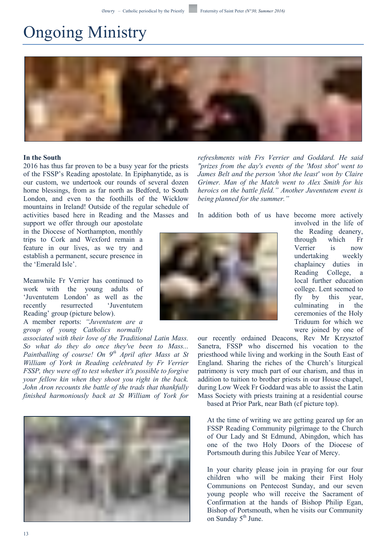### Ongoing Ministry



#### **In the South**

2016 has thus far proven to be a busy year for the priests of the FSSP's Reading apostolate. In Epiphanytide, as is our custom, we undertook our rounds of several dozen home blessings, from as far north as Bedford, to South London, and even to the foothills of the Wicklow mountains in Ireland! Outside of the regular schedule of activities based here in Reading and the Masses and

support we offer through our apostolate in the Diocese of Northampton, monthly trips to Cork and Wexford remain a feature in our lives, as we try and establish a permanent, secure presence in the 'Emerald Isle'.

Meanwhile Fr Verrier has continued to work with the young adults of 'Juventutem London' as well as the recently resurrected 'Juventutem Reading' group (picture below).

A member reports: *"Juventutem are a group of young Catholics normally* 

*associated with their love of the Traditional Latin Mass. So what do they do once they've been to Mass... Paintballing of course! On 9th April after Mass at St William of York in Reading celebrated by Fr Verrier FSSP, they were off to test whether it's possible to forgive your fellow kin when they shoot you right in the back. John Aron recounts the battle of the trads that thankfully finished harmoniously back at St William of York for* 



*refreshments with Frs Verrier and Goddard. He said "prizes from the day's events of the 'Most shot' went to James Belt and the person 'shot the least' won by Claire Grimer. Man of the Match went to Alex Smith for his heroics on the battle field." Another Juventutem event is being planned for the summer."*

In addition both of us have become more actively



involved in the life of the Reading deanery, through which Fr Verrier is now undertaking weekly chaplaincy duties in Reading College, a local further education college. Lent seemed to fly by this year, culminating in the ceremonies of the Holy Triduum for which we were joined by one of

our recently ordained Deacons, Rev Mr Krzysztof Sanetra, FSSP who discerned his vocation to the priesthood while living and working in the South East of England. Sharing the riches of the Church's liturgical patrimony is very much part of our charism, and thus in addition to tuition to brother priests in our House chapel, during Low Week Fr Goddard was able to assist the Latin Mass Society with priests training at a residential course based at Prior Park, near Bath (cf picture top).

At the time of writing we are getting geared up for an FSSP Reading Community pilgrimage to the Church of Our Lady and St Edmund, Abingdon, which has one of the two Holy Doors of the Diocese of Portsmouth during this Jubilee Year of Mercy.

In your charity please join in praying for our four children who will be making their First Holy Communions on Pentecost Sunday, and our seven young people who will receive the Sacrament of Confirmation at the hands of Bishop Philip Egan, Bishop of Portsmouth, when he visits our Community on Sunday  $5<sup>th</sup>$  June.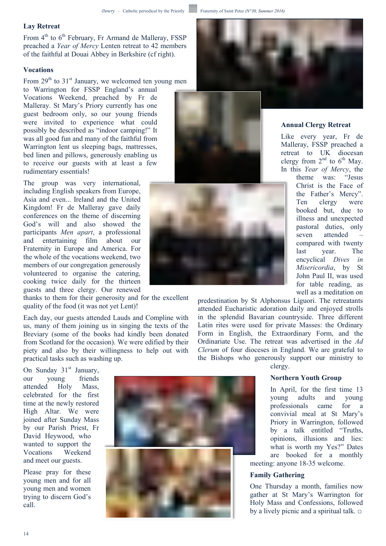#### **Lay Retreat**

From  $4<sup>th</sup>$  to  $6<sup>th</sup>$  February, Fr Armand de Malleray, FSSP preached a *Year of Mercy* Lenten retreat to 42 members of the faithful at Douai Abbey in Berkshire (cf right).

#### **Vocations**

From  $29<sup>th</sup>$  to  $31<sup>st</sup>$  January, we welcomed ten young men

to Warrington for FSSP England's annual Vocations Weekend, preached by Fr de Malleray. St Mary's Priory currently has one guest bedroom only, so our young friends were invited to experience what could possibly be described as "indoor camping!" It was all good fun and many of the faithful from Warrington lent us sleeping bags, mattresses, bed linen and pillows, generously enabling us to receive our guests with at least a few rudimentary essentials!

The group was very international, including English speakers from Europe, Asia and even... Ireland and the United Kingdom! Fr de Malleray gave daily conferences on the theme of discerning God's will and also showed the participants *Men apart*, a professional and entertaining film about our Fraternity in Europe and America. For the whole of the vocations weekend, two members of our congregation generously volunteered to organise the catering, cooking twice daily for the thirteen guests and three clergy. Our renewed

thanks to them for their generosity and for the excellent quality of the food (it was not yet Lent)!

Each day, our guests attended Lauds and Compline with us, many of them joining us in singing the texts of the Breviary (some of the books had kindly been donated from Scotland for the occasion). We were edified by their piety and also by their willingness to help out with practical tasks such as washing up.

On Sunday  $31<sup>st</sup>$  January, our young friends attended Holy Mass, celebrated for the first time at the newly restored High Altar. We were joined after Sunday Mass by our Parish Priest, Fr David Heywood, who wanted to support the Vocations Weekend and meet our guests.

Please pray for these young men and for all young men and women trying to discern God's call.



predestination by St Alphonsus Liguori. The retreatants attended Eucharistic adoration daily and enjoyed strolls in the splendid Bavarian countryside. Three different Latin rites were used for private Masses: the Ordinary Form in English, the Extraordinary Form, and the Ordinariate Use. The retreat was advertised in the *Ad Clerum* of four dioceses in England. We are grateful to the Bishops who generously support our ministry to

clergy.

#### **Northern Youth Group**

In April, for the first time 13 young adults and young professionals came for a convivial meal at St Mary's Priory in Warrington, followed by a talk entitled "Truths, opinions, illusions and lies: what is worth my Yes?" Dates are booked for a monthly

meeting: anyone 18-35 welcome.

#### **Family Gathering**

One Thursday a month, families now gather at St Mary's Warrington for Holy Mass and Confessions, followed by a lively picnic and a spiritual talk.  $\Box$ 







**Annual Clergy Retreat**  Like every year, Fr de Malleray, FSSP preached a retreat to UK diocesan clergy from  $2<sup>nd</sup>$  to  $6<sup>th</sup>$  May. In this *Year of Mercy*, the theme was: "Jesus Christ is the Face of the Father's Mercy". Ten clergy were booked but, due to illness and unexpected pastoral duties, only seven attended – compared with twenty last year. The encyclical *Dives in Misericordia*, by St John Paul II, was used for table reading, as well as a meditation on

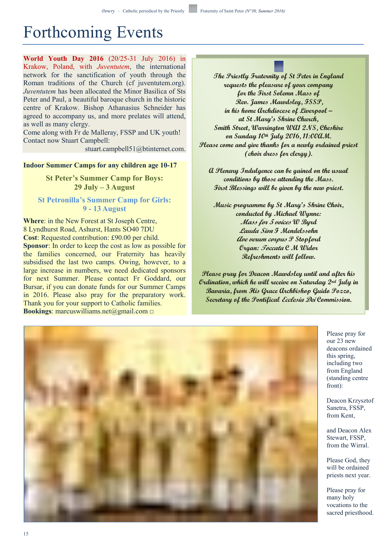# Forthcoming Events

**World Youth Day 2016** (20/25-31 July 2016) in Krakow, Poland, with *Juventutem*, the international network for the sanctification of youth through the Roman traditions of the Church (cf juventutem.org). *Juventutem* has been allocated the Minor Basilica of Sts Peter and Paul, a beautiful baroque church in the historic centre of Krakow. Bishop Athanasius Schneider has agreed to accompany us, and more prelates will attend, as well as many clergy.

Come along with Fr de Malleray, FSSP and UK youth! Contact now Stuart Campbell:

stuart.campbell51@btinternet.com.

#### **Indoor Summer Camps for any children age 10-17**

#### **St Peter's Summer Camp for Boys: 29 July – 3 August**

### **St Petronilla's Summer Camp for Girls: 9 - 13 August**

**Where**: in the New Forest at St Joseph Centre, 8 Lyndhurst Road, Ashurst, Hants SO40 7DU **Cost**: Requested contribution: £90.00 per child. **Sponsor**: In order to keep the cost as low as possible for the families concerned, our Fraternity has heavily subsidised the last two camps. Owing, however, to a large increase in numbers, we need dedicated sponsors for next Summer. Please contact Fr Goddard, our Bursar, if you can donate funds for our Summer Camps in 2016. Please also pray for the preparatory work. Thank you for your support to Catholic families. **Bookings:** marcuswilliams.net@gmail.com □

**The Priestly Fraternity of St Peter in England requests the pleasure of your company for the First Solemn Mass of Rev. James Mawdsley, FSSP, in his home Archdiocese of Liverpool – at St Mary's Shrine Church, Smith Street, Warrington WA1 2NS, Cheshire on Sunday 10th July 2016, 11:00AM. Please come and give thanks for a newly ordained priest (choir dress for clergy).**

**A Plenary Indulgence can be gained on the usual conditions by those attending the Mass. First Blessings will be given by the new priest.**

**Music programme by St Mary's Shrine Choir, conducted by Michael Wynne: Mass for 5 voices W Byrd Lauda Sion F Mendelssohn Ave verum corpus P Stopford Organ: Toccata C M Widor Refreshments will follow.**

**Please pray for Deacon Mawdsley until and after his Ordination, which he will receive on Saturday 2nd July in Bavaria, from His Grace Archbishop Guido Pozzo, Secretary of the Pontifical Ecclesia Dei Commission.**



Please pray for our 23 new deacons ordained this spring, including two from England (standing centre front):

Deacon Krzysztof Sanetra, FSSP, from Kent,

and Deacon Alex Stewart, FSSP, from the Wirral.

Please God, they will be ordained priests next year.

Please pray for many holy vocations to the sacred priesthood.